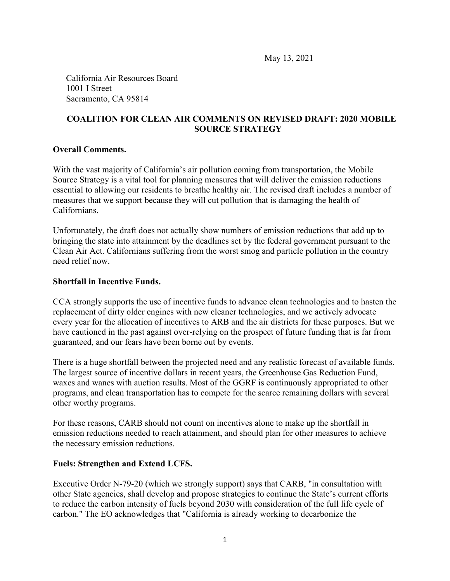May 13, 2021

California Air Resources Board 1001 I Street Sacramento, CA 95814

## **COALITION FOR CLEAN AIR COMMENTS ON REVISED DRAFT: 2020 MOBILE SOURCE STRATEGY**

## **Overall Comments.**

With the vast majority of California's air pollution coming from transportation, the Mobile Source Strategy is a vital tool for planning measures that will deliver the emission reductions essential to allowing our residents to breathe healthy air. The revised draft includes a number of measures that we support because they will cut pollution that is damaging the health of Californians.

Unfortunately, the draft does not actually show numbers of emission reductions that add up to bringing the state into attainment by the deadlines set by the federal government pursuant to the Clean Air Act. Californians suffering from the worst smog and particle pollution in the country need relief now.

#### **Shortfall in Incentive Funds.**

CCA strongly supports the use of incentive funds to advance clean technologies and to hasten the replacement of dirty older engines with new cleaner technologies, and we actively advocate every year for the allocation of incentives to ARB and the air districts for these purposes. But we have cautioned in the past against over-relying on the prospect of future funding that is far from guaranteed, and our fears have been borne out by events.

There is a huge shortfall between the projected need and any realistic forecast of available funds. The largest source of incentive dollars in recent years, the Greenhouse Gas Reduction Fund, waxes and wanes with auction results. Most of the GGRF is continuously appropriated to other programs, and clean transportation has to compete for the scarce remaining dollars with several other worthy programs.

For these reasons, CARB should not count on incentives alone to make up the shortfall in emission reductions needed to reach attainment, and should plan for other measures to achieve the necessary emission reductions.

#### **Fuels: Strengthen and Extend LCFS.**

Executive Order N-79-20 (which we strongly support) says that CARB, "in consultation with other State agencies, shall develop and propose strategies to continue the State's current efforts to reduce the carbon intensity of fuels beyond 2030 with consideration of the full life cycle of carbon." The EO acknowledges that "California is already working to decarbonize the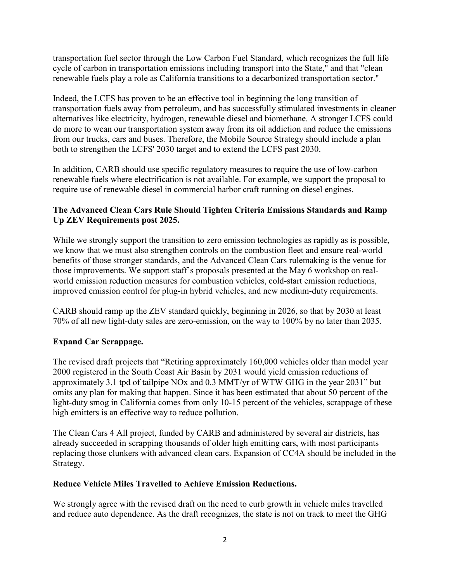transportation fuel sector through the Low Carbon Fuel Standard, which recognizes the full life cycle of carbon in transportation emissions including transport into the State," and that "clean renewable fuels play a role as California transitions to a decarbonized transportation sector."

Indeed, the LCFS has proven to be an effective tool in beginning the long transition of transportation fuels away from petroleum, and has successfully stimulated investments in cleaner alternatives like electricity, hydrogen, renewable diesel and biomethane. A stronger LCFS could do more to wean our transportation system away from its oil addiction and reduce the emissions from our trucks, cars and buses. Therefore, the Mobile Source Strategy should include a plan both to strengthen the LCFS' 2030 target and to extend the LCFS past 2030.

In addition, CARB should use specific regulatory measures to require the use of low-carbon renewable fuels where electrification is not available. For example, we support the proposal to require use of renewable diesel in commercial harbor craft running on diesel engines.

# **The Advanced Clean Cars Rule Should Tighten Criteria Emissions Standards and Ramp Up ZEV Requirements post 2025.**

While we strongly support the transition to zero emission technologies as rapidly as is possible, we know that we must also strengthen controls on the combustion fleet and ensure real-world benefits of those stronger standards, and the Advanced Clean Cars rulemaking is the venue for those improvements. We support staff's proposals presented at the May 6 workshop on realworld emission reduction measures for combustion vehicles, cold-start emission reductions, improved emission control for plug-in hybrid vehicles, and new medium-duty requirements.

CARB should ramp up the ZEV standard quickly, beginning in 2026, so that by 2030 at least 70% of all new light-duty sales are zero-emission, on the way to 100% by no later than 2035.

# **Expand Car Scrappage.**

The revised draft projects that "Retiring approximately 160,000 vehicles older than model year 2000 registered in the South Coast Air Basin by 2031 would yield emission reductions of approximately 3.1 tpd of tailpipe NOx and 0.3 MMT/yr of WTW GHG in the year 2031" but omits any plan for making that happen. Since it has been estimated that about 50 percent of the light-duty smog in California comes from only 10-15 percent of the vehicles, scrappage of these high emitters is an effective way to reduce pollution.

The Clean Cars 4 All project, funded by CARB and administered by several air districts, has already succeeded in scrapping thousands of older high emitting cars, with most participants replacing those clunkers with advanced clean cars. Expansion of CC4A should be included in the Strategy.

## **Reduce Vehicle Miles Travelled to Achieve Emission Reductions.**

We strongly agree with the revised draft on the need to curb growth in vehicle miles travelled and reduce auto dependence. As the draft recognizes, the state is not on track to meet the GHG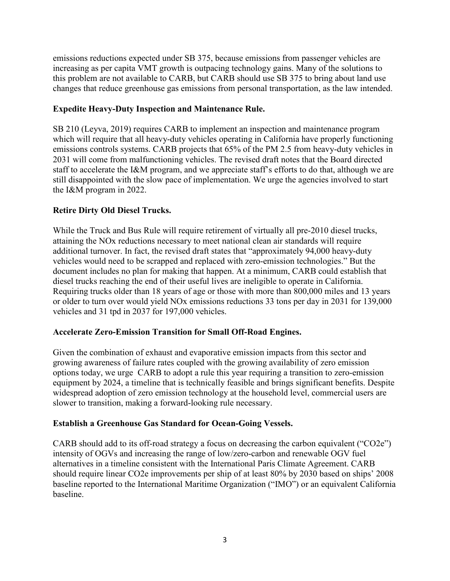emissions reductions expected under SB 375, because emissions from passenger vehicles are increasing as per capita VMT growth is outpacing technology gains. Many of the solutions to this problem are not available to CARB, but CARB should use SB 375 to bring about land use changes that reduce greenhouse gas emissions from personal transportation, as the law intended.

## **Expedite Heavy-Duty Inspection and Maintenance Rule.**

SB 210 (Leyva, 2019) requires CARB to implement an inspection and maintenance program which will require that all heavy-duty vehicles operating in California have properly functioning emissions controls systems. CARB projects that 65% of the PM 2.5 from heavy-duty vehicles in 2031 will come from malfunctioning vehicles. The revised draft notes that the Board directed staff to accelerate the I&M program, and we appreciate staff's efforts to do that, although we are still disappointed with the slow pace of implementation. We urge the agencies involved to start the I&M program in 2022.

#### **Retire Dirty Old Diesel Trucks.**

While the Truck and Bus Rule will require retirement of virtually all pre-2010 diesel trucks, attaining the NOx reductions necessary to meet national clean air standards will require additional turnover. In fact, the revised draft states that "approximately 94,000 heavy-duty vehicles would need to be scrapped and replaced with zero-emission technologies." But the document includes no plan for making that happen. At a minimum, CARB could establish that diesel trucks reaching the end of their useful lives are ineligible to operate in California. Requiring trucks older than 18 years of age or those with more than 800,000 miles and 13 years or older to turn over would yield NOx emissions reductions 33 tons per day in 2031 for 139,000 vehicles and 31 tpd in 2037 for 197,000 vehicles.

#### **Accelerate Zero-Emission Transition for Small Off-Road Engines.**

Given the combination of exhaust and evaporative emission impacts from this sector and growing awareness of failure rates coupled with the growing availability of zero emission options today, we urge CARB to adopt a rule this year requiring a transition to zero-emission equipment by 2024, a timeline that is technically feasible and brings significant benefits. Despite widespread adoption of zero emission technology at the household level, commercial users are slower to transition, making a forward-looking rule necessary.

#### **Establish a Greenhouse Gas Standard for Ocean-Going Vessels.**

CARB should add to its off-road strategy a focus on decreasing the carbon equivalent ("CO2e") intensity of OGVs and increasing the range of low/zero-carbon and renewable OGV fuel alternatives in a timeline consistent with the International Paris Climate Agreement. CARB should require linear CO2e improvements per ship of at least 80% by 2030 based on ships' 2008 baseline reported to the International Maritime Organization ("IMO") or an equivalent California baseline.